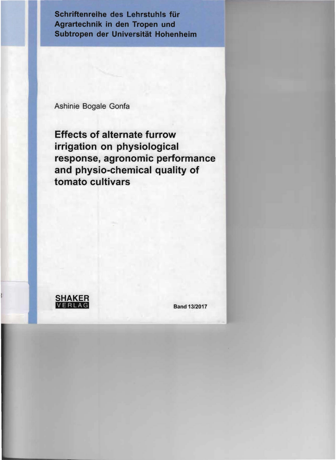Schriften reihe **des Lehrstuhls für Agrartechnik in den Tropen und Subtropen der Universität Hohenheim** 

Ashinie Bogale Gonfa

f-I\_

**Effects of alternate furrow irrigation on physiological response, agronomie performance and physio-chemical quality of tomato cuItivars** 

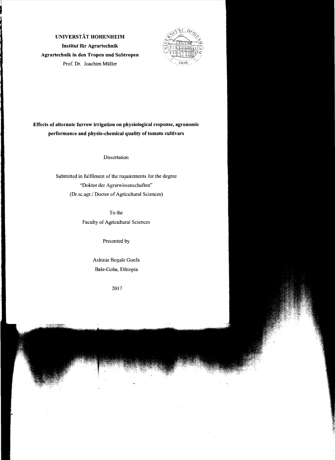



# **Effects of alternate furrow irrigation on** physiologieal **response, agronomie performance and physio-chemical quality of tomato cultivars**

**Dissertation** 

Submitted in fulfilment of the requirements for the degree "Doktor der Agrarwissenschaften" (Dr.sc.agr./ Doctor of Agricultural Sciences)

To the

Faculty of Agricultural Sciences

Presented by

Ashinie Bogale Gonfa Bale-Goba, Ethiopia

2017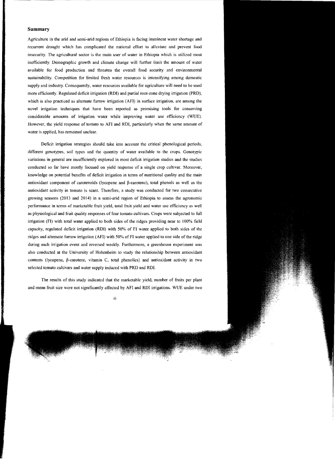#### **Summary**

Agrieulture in the arid and semi-arid regions of Ethiopia is faeing imminent water shortage and recurrent drought which has complicated the national effort to alleviate and prevent food insecurity. The agricultural sector is the main user of water in Ethiopia which is utilized most inefficiently. Demographic growth and climate change will further limit the amount of water available for food production and threaten the overall food security and environmental sustainability. Competition for limited fresh water resources is intensifying among domestic supply and industry. Consequently, water resources available for agriculture will need to be used more efftcicntly. Regulated deficit irrigation (RDI) and partial root-zone drying irrigation (PRD), which is also practiced as alternate furrow irrigation (AFI) in surface irrigation, are among the novel irrigation techniques that have been reported as promising tools for conserving considerable amounts of irrigation water while improving water use efficiency (WUE). However, the yield response of tomato to AFI and RDI, particularly when the same arnount of water is applied, has remained unclear.

Deficit irrigation strategies should take into account the critical phenological periods, different genotypes, soil types and the quantity of water available to the crops. Genotypic variations in general are insufficiently explored in most defteit irrigation studies and the studies conducted so far have mostly focused on yield response of a single crop cultivar. Moreover, knowledge on potential benefits of defieit irrigation in terms of nutritional quality and the main antioxidant component of earotenoids (lycopene and ß-carotene), total phenols as weil as the antioxidant aetivity in tomato is scant. Therefore, a study was eonducted for two consecutive growing seasons (2013 and 2014) in a semi-arid region of Ethiopia to assess the agronomie performance in terms of marketable fruit yield, total fruit yield and water use efficiency as weil as physiological and fruit quality responses of four tomato cultivars. Crops were subjected to full irrigation (FI) with total water applied to both sides of the ridges providing near to 100% field capacity, regulated deficit irrigation (RDI) with 50% of FI water applied to both sides of the ridges and alternate furrow irrigation (AFI) with 50% of FI water applied to one side of the ridge during each irrigation event and reversed weekly. Furthermore, a greenhouse experiment was also conducted at the University of Hohenheim to study the relationship bctween antioxidant contents (Iycopene, ß-earotene, vitamin C, total phenolics) and antioxidant activity in two selected tomato cultivars and water supply induced with PRD and RDL

The results of this study indicated that the marketable yield, number of fruits per plant and mean fruit size were not significantly affected by AFI and RDI irrigations. WUE under two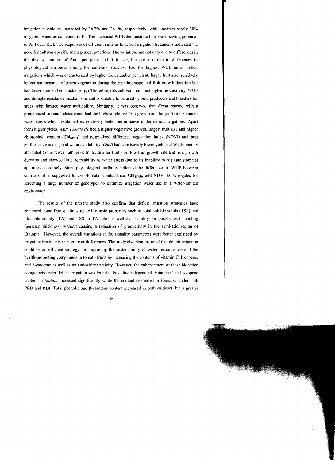irrigation techniques increased by  $36.7\%$  and  $26.1\%$ , respectively, while savings nearly  $30\%$ irrigation water as compared to FL The increased WUE demonstrated the water saving potential of AFI over RD!. The responses of different cultivar to deficit irrigation treatments indicated the need for cultivar-specific management practices. The variations are not only due to differences in the distinct number of fruits per plant and fruit size, but are also due to differences in physiological attributes among the coltivars. *Cochoro* had the highest WUE under deficit irrigations which was characterized by higher fruit number per plant, larger fruit size, relatively longer maintenance of green vegetation during the ripening stage and fruit growth duration but had lower stomatal conductance  $(g_s)$  Therefore, this cultivar combined higher productivity, WUE and drought resistance mechanisms and is suitable to be used by both producers and breeders for areas with Iimited water availability. Similarly, it was observed that *Fetan* rcacted with a pronounced stomatal closure and had the highest relative fruit growth and larger fruit size under water stress which explained its relatively better performance under deficit irrigations. Apart from higher yields, *ARP Tomato d2* had a higher vegetative grovvih, largest fruit size and higher chlorophyll content (ChlsPAD) and normalized difference vegetation index (NOVI) and best performance under good water availability. *Chali* had consistently lower yield and WUE, mainly attributed to the fewer number of fruits, smaller fruit size, low fruit growth rate and fruit growth duration and showed Iittle adaptability to water stress due to its inability to regulate stomatal aperture accordingly. Since physiological attributes reflected the differences in WUE between cultivars, it is suggested to use stomatal conductance, Chl<sub>SPAD</sub>, and NDVI as surrogates for screening a large number of genotypes to optimize irrigation water use in a water-limited environment.

The results of the present study also confirm that deficit irrigation strategies have enhanced some fruit qualities related to taste properties such as total soluble solids (TSS) and titratable acidity (TA) and TSS 10 TA ratio as weil as stability for post-harvest handling (pericarp thickness) without causing a reduction of productivity in the semi-arid region of Ethiopia. However, the overall variations in fruit quality parameters werc better explained by irrigation treatments than cultivar differences. The study also demonstrated that deficit irrigation could be an efficient strategy for improving the sustainability of water resource use and the health-promoting compounds in tomato fruits by increasing the contents of vitamin C, lycopene, and ß-carotene as weil as an antioxidant activity. However, the enhancement of these bioactive compounds under deficit irrigation was found to be eultivar-dependent. Vitamin C and lycopene content in *Matina* increased significantly while the content decreased in *Cochoro* under both PRD and RDI. Total phenolic and  $\beta$ -carotene content increased in both cultivars, but a greater

iv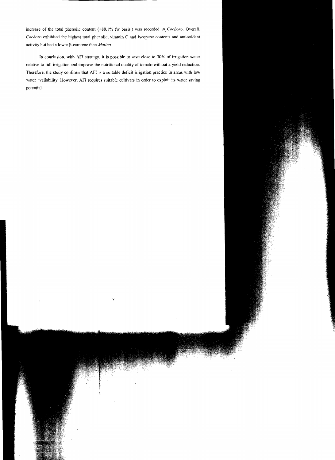increase of the total phenolic content (+88.1% fw basis.) was recorded in. *Cochoro.* Overall, *Cochoro* exhibited the highest total phenolic, vitamin C and Iycopene contents and antioxidant activity but had a lower ß-carctene than *Matina.* 

In conclusion, with AFI strategy, it is possible to save dose to 30% of irrigation water relative to full irrigation and improve the nutritional quality of tomato without a yield reduction. Therefore, the study confirrns that AFI is a suitable deficit irrigation practice in areas with low water availability. However, AFI requires suitable cultivars in order to exploit its water saving potential.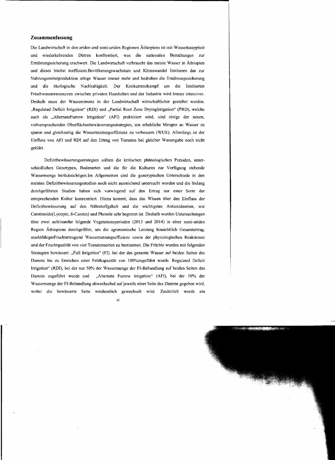# **Zusammenfassung**

Die Landwirtsehaft in den ariden und semi-ariden Regionen Äthiopiens ist mit Wasserknappheit und wiederkehrenden Dürren konfrontiert, was die nationalen Bemühungen zur Ernährungssicherung erschwert. Die Landwirtschaft verbraucht das meiste Wasser in Äthiopien und dieses höchst ineffizient.Bevölkerungswachstum und KJimawandel limitieren das zur Nahrungsmittelproduktion nötige Wasser immer mehr und bedrohen die Ernährungssicherung und die ökologische Nachhaltigkeit. Der Konkurrenzkampf um die limitierten Frischwasserressourcen zwischen privaten Haushalten und der Industrie wird immer intensiver. Deshalb muss der Wassereinsatz in der Landwirtschaft wirtschaftlicher gestaltet werden. "Regulated Deficit Irrigation" (RDI) und "Partial Root Zone DryingIrrigation" (PRD), welche auch als "AlternateFurrow Irrigation" (AFI) praktiziert wird. sind einige der neuen, vielverspreehenden Oberflächenbewässerungsstrategien, um erhebliche Mengen an Wasser zu sparen und gleichzeitig die Wassemutzungseffizienz zu verbessern (WUE). Allerdings ist der Einfluss von AFI und RDI auf den Ertrag von Tomaten bei gleicher Wassergabe noch nicht geklärt.

Defizitbewässerungsstrategien sollten die kritischen phänologischen Perioden, unterschiedlichen Genotypen, Bodenarten und die fiir die Kulturen zur Verfiigung stehende Wassermenge berücksichtigen.lm Allgemeinen sind die genotypischen Unterschiede in den meisten Defizitbewässerungsstudien noch nicht ausreichend untersucht worden und die bislang durchgefiihrten Studien haben sich vorwiegend auf den Ertrag nur einer Sorte der entsprechenden Kultur konzentriert. Hinzu kommt, dass das Wissen über den Einfluss der Defizitbewässerung auf den Nährstoffgehalt und die wichtigsten Antioxidantien, wie Carotinoide(Lycopin, ß-Carotin) und Phenole sehr begrenzt ist. Deshalb wurden Untersuchungen über zwei aufeinander folgende Vegetationsperioden (2013 und 2014) in einer semi-ariden Region Äthiopiens durchgefiihrt, um die agronomische Leistung hinsichtlich Gesamtertrag, marktfahigerFruchtertragund Wassemutzungseffizienz sowie der physiologischen Reaktionen und der Fruchtqualität von vier Tomatensorten zu bestimmen. Die Früchte wurden mit folgenden Strategien bewässert: "Full Irrigation" (FI), bei der das gesamte Wasser auf beiden Seiten des Damms bis zu Erreichen einer Feldkapazität von 100%zugeführt wurde. Regulated Deficit Irrigation" (RDI), bei der nur 50% der Wassermenge der FI-Behandlung auf beiden Seiten des Damms zugefiihrt wurde und "Alternate Furrow Irrigation" (AFI), bei der 50% der Wasserrnenge der FI-Behandlung abwechselnd auf jeweils einer Seite des Damms gegeben wird, wobei die bewässerte Seite wöchentlich gewechselt wird. Zusätzlich wurde ein

vi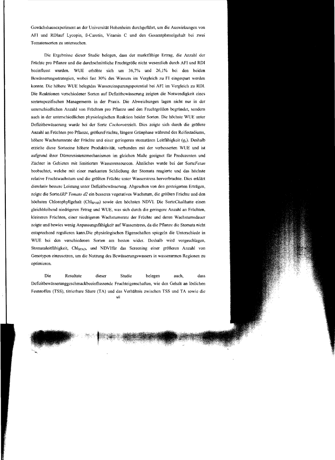Gewächshausexperiment an der Universität Hohenheim durchgetUhrt, um die Auswirkungen von AFI und RDlauf Lycopin, ß-Carotin, Vitamin C und den Gesamtphenolgehalt bei zwei Tomatensorten zu untersuchen.

Die Ergebnisse dieser Studie belegen, dass der marktfähige Ertrag, die Anzahl der Fruchte pro Pflanze und die durchschnittliche Fruchtgröße nicht wesentlich durch AFI und RDI beeinflusst wurden. WUE erhöhte sich um 36,7% und 26,1% bei den beiden Bewässerungsstrategien, wobei fast 30% des Wassers im Vergleich zu FI eingespart werden konnte. Die höhere WUE belegtdas Wassereinsparungspotential bei AFI im Vergleich zu RD!. Die Reaktionen verschiedener Sorten auf DefIzitbewässerung zeigten die Notwendigkeit eines sortenspezifischen Managements in der Praxis. Die Abweichungen lagen nicht nur in dcr unterschiedlichen Anzahl von Fruchten pro Pflanze und den Fruchtgrößcn begründet, sondern auch in der unterschiedlichen physiologischen Reaktion beider Sorten. Die höchste WUE unter Defizitbewässerung wurde bei der Sorte Cochoroerzielt. Dies zeigte sich durch die größere Anzahl an Früchten pro Pflanze, größereFrüchte, längere Grünphase während des Reifestadiums, höhere Wachstumsrate der Früchte und einer geringeren stomatären Leitfähigkeit (g.). Deshalb erzielte diese Sorteeine höhere Produktivität, verbunden mit der verbesserten WUE und ist aufgrund ihrer Dürreresistenzmechanismen im gleichen Maße geeignet für Produzenten und Züchter in Gebieten mit limitierten Wasserressourcen. Ähnliches wurde bei der *SorteFetan*  beobachtet, welche mit einer markanten Schließung der Stomata reagierte und das höchste relative Fruchtwachstum und die größten Fruchte unter Wasserstress hervorbrachte. Dies erklärt dierelativ bessere Leistung unter Defizitbewässerung. Abgesehen von den gesteigerten Erträgen, zeigte die SorteARP Tomato d2 ein besseres vegetatives Wachstum, die größten Früchte und den höchsten Chlorophyllgehalt (Chls<sub>PAD</sub>) sowie den höchsten NDVI. Die SorteChalihatte einen gleichbleibend niedrigeren Ertrag und WUE, was sicb durch die geringere Anzahl an Fruchten, kleineren Früchten, einer niedrigeren Wachstumsrate der Fruchte und deren Wachstumsdauer zeigte und bewies wenig Anpassungsfahigkeit aufWasserstress, da die Pflanze die Stomata nicht entsprechend regulieren kann.Die physiologischen Eigenschaften spiegeln die Unterschiede in WUE bei den verschiedenen Sorten am besten wider. Deshalb wird vorgeschlagen, Stomataleitfähigkeit, ChlspAD, und NDVIfür das Screening einer größeren Anzahl von Genotypen einzusetzen, um die Nutzung des Bewässerungswassers in wasserarmen Regionen zu optimieren.

Die Resultate dieser Studie belegen auch, dass Defizitbewässerunggeschmackbeeinflussende Fruchteigenschaften, wie den Gehalt an löslichen Feststoffen (TSS), titrierbare Säure (TA) und das Verhältnis zwischen TSS und TA sowie die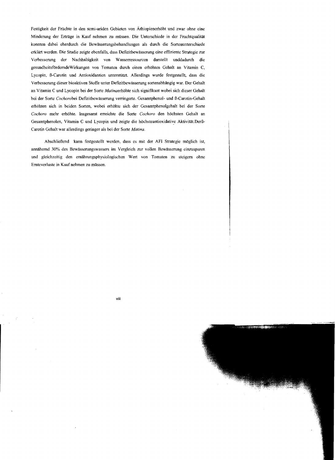Festigkeit der Früchte in den semi-ariden Gebieten von Äthiopienerhöht und zwar ohne eine Minderung der Erträge in Kauf nehmen zu müssen. Die Unterschiede in der Fruchtqualität konnten dabei eherdurch die Bewässerungsbehandlungen als durch die Sortenunterschiede erklärt werden. Die Studie zeigte ebenfalls, dass Defizitbewässerung eine effiziente Strategie zur Verbesserung der Nachhaltigkeit von Wasserressourcen darstellt unddadurch die gesundheitsfördemdeWirkungen von Tomaten durch einen erhöhten Gehalt an Vitamin C, Lycopin, ß-Carotin und Antioxidantien unterstützt. Allerdings wurde festgestellt, dass die Verbesserung dieser bioaktiven Stoffe unter Defizitbewässerung sortenabhängig war. Der Gehalt an Vitamin C und Lycopin bei der Sorte *Matinaerhöhte* sich signifikant wobei sich dieser Gehalt bei der Sorte *Cochorobei* Defizitbewässerung verringerte. Gesamtphenol- und ß-Carotin-Gehalt erhöhten sich in beiden Sorten, wobei erhöhte sich der Gesamtphenolgehalt bei der Sorte *Cochoro* mehr erhöhte. Insgesamt erreichte die Sorte *Cochoro* den höchsten Gehalt an Gesamtphenolen, Vitamin C und Lycopin und zeigte die höchsteantioxidative Aktivität.Derß-Carotin Gehalt war allerdings geringer als bei der Sorte *Matina.* 

Abschließend kann festgestellt werden, dass es mit der AFI Strategie möglich ist, annähernd 30% des Bewässerungswassers im Vergleich zur vollen Bewässerung einzusparen und gleichzeitig den emährungsphysiologischen Wert von Tomaten zu steigern ohne ErnteverJuste in Kauf nehmen zu müssen.